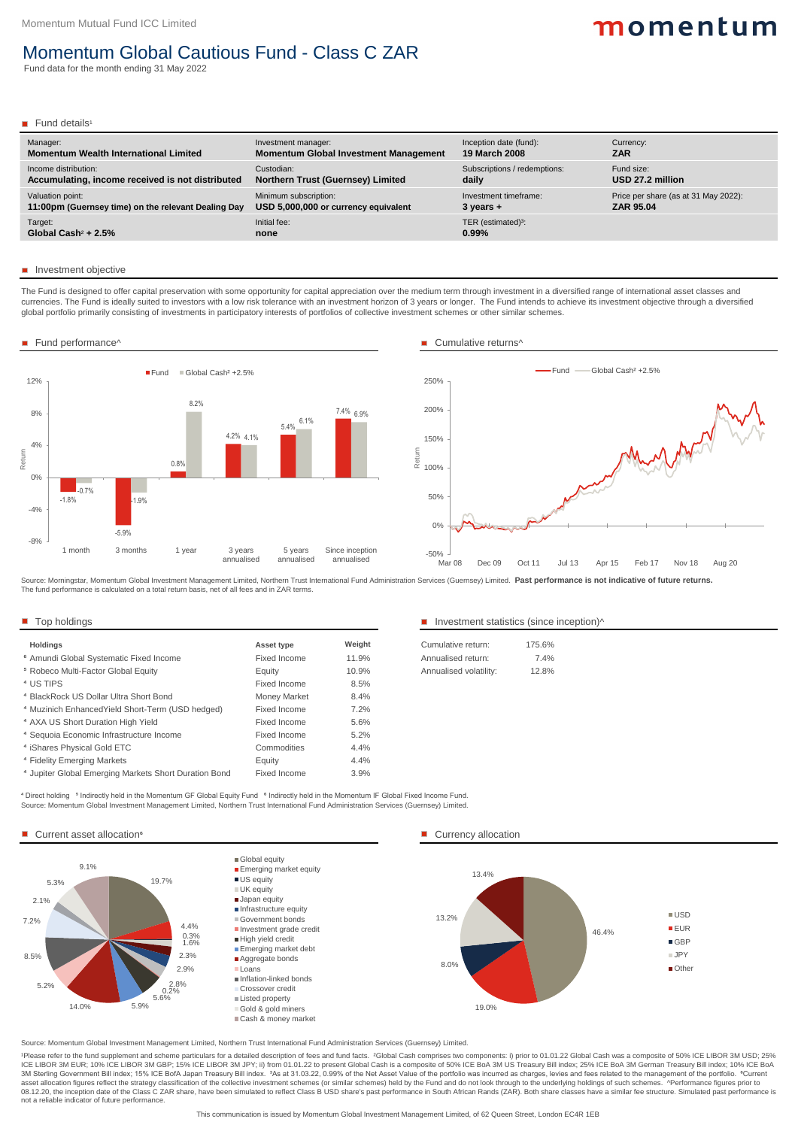Source: Momentum Global Investment Management Limited, Northern Trust International Fund Administration Services (Guernsey) Limited. <sup>4</sup> Direct holding <sup>5</sup> Indirectly held in the Momentum GF Global Equity Fund <sup>6</sup> Indirectly held in the Momentum IF Global Fixed Income Fund.

#### Current asset allocation<sup>6</sup> and the currency allocation and the currency allocation

| <b>Holdings</b>                                    | <b>Asset type</b> | Weight  | Cumulative return:     | 175.6% |
|----------------------------------------------------|-------------------|---------|------------------------|--------|
| <sup>6</sup> Amundi Global Systematic Fixed Income | Fixed Income      | 11.9%   | Annualised return:     | 7.4%   |
| <sup>5</sup> Robeco Multi-Factor Global Equity     | <b>Equity</b>     | 10.9%   | Annualised volatility: | 12.8%  |
| <sup>4</sup> US TIPS                               | Fixed Income      | $8.5\%$ |                        |        |

#### Top holdings Top holdings Top holdings Investment statistics (since inception)  $\sim$

| 175.6%  |
|---------|
| $7.4\%$ |
| 12.8%   |
|         |

| <sup>4</sup> BlackRock US Dollar Ultra Short Bond                | <b>Money Market</b> | 8.4% |
|------------------------------------------------------------------|---------------------|------|
| <sup>4</sup> Muzinich Enhanced Yield Short-Term (USD hedged)     | Fixed Income        | 7.2% |
| <sup>4</sup> AXA US Short Duration High Yield                    | Fixed Income        | 5.6% |
| <sup>4</sup> Sequoia Economic Infrastructure Income              | Fixed Income        | 5.2% |
| <sup>4</sup> iShares Physical Gold ETC                           | Commodities         | 4.4% |
| <sup>4</sup> Fidelity Emerging Markets                           | Equity              | 4.4% |
| <sup>4</sup> Jupiter Global Emerging Markets Short Duration Bond | <b>Fixed Income</b> | 3.9% |

Source: Momentum Global Investment Management Limited, Northern Trust International Fund Administration Services (Guernsey) Limited.

Cash & money market

1Please refer to the fund supplement and scheme particulars for a detailed description of fees and fund facts. 2Global Cash comprises two components: i) prior to 01.01.22 Global Cash was a composite of 50% ICE LIBOR 3M USD ICE LIBOR 3M EUR; 10% ICE LIBOR 3M GBP; 15% ICE LIBOR 3M JPY; ii) from 01.01.22 to present Global Cash is a composite of 50% ICE BoA 3M US Treasury Bill index; 25% ICE BoA 3M German Treasury Bill index; 10% ICE BoA 3M Sterling Government Bill index; 15% ICE BofA Japan Treasury Bill index. 3As at 31.03.22, 0.99% of the Net Asset Value of the portfolio was incurred as charges, levies and fees related to the management of the portfolio. asset allocation figures reflect the strategy classification of the collective investment schemes (or similar schemes) held by the Fund and do not look through to the underlying holdings of such schemes. ^Performance figur 08.12.20, the inception date of the Class C ZAR share, have been simulated to reflect Class B USD share's past performance in South African Rands (ZAR). Both share classes have a similar fee structure. Simulated past perfo not a reliable indicator of future performance.

This communication is issued by Momentum Global Investment Management Limited, of 62 Queen Street, London EC4R 1EB

The Fund is designed to offer capital preservation with some opportunity for capital appreciation over the medium term through investment in a diversified range of international asset classes and currencies. The Fund is ideally suited to investors with a low risk tolerance with an investment horizon of 3 years or longer. The Fund intends to achieve its investment objective through a diversified global portfolio primarily consisting of investments in participatory interests of portfolios of collective investment schemes or other similar schemes.

| Manager:                                            | Investment manager:                          | Inception date (fund):         | Currency:                            |
|-----------------------------------------------------|----------------------------------------------|--------------------------------|--------------------------------------|
| <b>Momentum Wealth International Limited</b>        | <b>Momentum Global Investment Management</b> | <b>19 March 2008</b>           | <b>ZAR</b>                           |
| Income distribution:                                | Custodian:                                   | Subscriptions / redemptions:   | Fund size:                           |
| Accumulating, income received is not distributed    | <b>Northern Trust (Guernsey) Limited</b>     | daily                          | USD 27.2 million                     |
| Valuation point:                                    | Minimum subscription:                        | Investment timeframe:          | Price per share (as at 31 May 2022): |
| 11:00pm (Guernsey time) on the relevant Dealing Day | USD 5,000,000 or currency equivalent         | $3$ years $+$                  | <b>ZAR 95.04</b>                     |
| Target:                                             | Initial fee:                                 | TER (estimated) <sup>3</sup> : |                                      |
| Global Cash <sup>2</sup> + $2.5\%$                  | none                                         | 0.99%                          |                                      |

#### **Investment objective**

Source: Morningstar, Momentum Global Investment Management Limited, Northern Trust International Fund Administration Services (Guernsey) Limited. **Past performance is not indicative of future returns.** The fund performance is calculated on a total return basis, net of all fees and in ZAR terms.

# momentum

## Momentum Global Cautious Fund - Class C ZAR

Fund data for the month ending 31 May 2022

#### **Fund details<sup>1</sup>**









#### ■ Fund performance^ Cumulative returns<sup>^</sup>